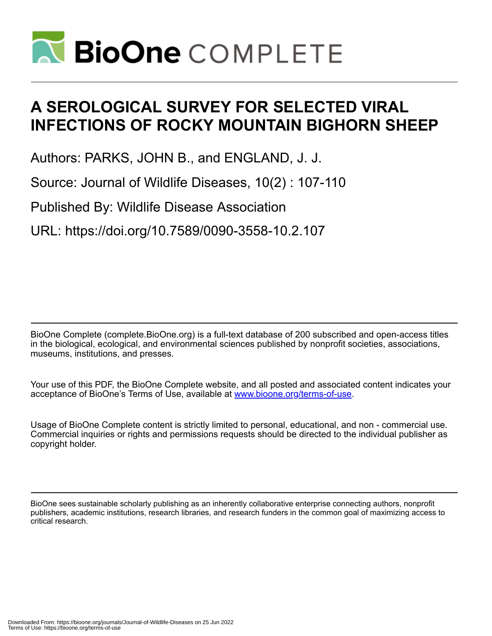

# **A SEROLOGICAL SURVEY FOR SELECTED VIRAL INFECTIONS OF ROCKY MOUNTAIN BIGHORN SHEEP**

Authors: PARKS, JOHN B., and ENGLAND, J. J.

Source: Journal of Wildlife Diseases, 10(2) : 107-110

Published By: Wildlife Disease Association

URL: https://doi.org/10.7589/0090-3558-10.2.107

BioOne Complete (complete.BioOne.org) is a full-text database of 200 subscribed and open-access titles in the biological, ecological, and environmental sciences published by nonprofit societies, associations, museums, institutions, and presses.

Your use of this PDF, the BioOne Complete website, and all posted and associated content indicates your acceptance of BioOne's Terms of Use, available at www.bioone.org/terms-of-use.

Usage of BioOne Complete content is strictly limited to personal, educational, and non - commercial use. Commercial inquiries or rights and permissions requests should be directed to the individual publisher as copyright holder.

BioOne sees sustainable scholarly publishing as an inherently collaborative enterprise connecting authors, nonprofit publishers, academic institutions, research libraries, and research funders in the common goal of maximizing access to critical research.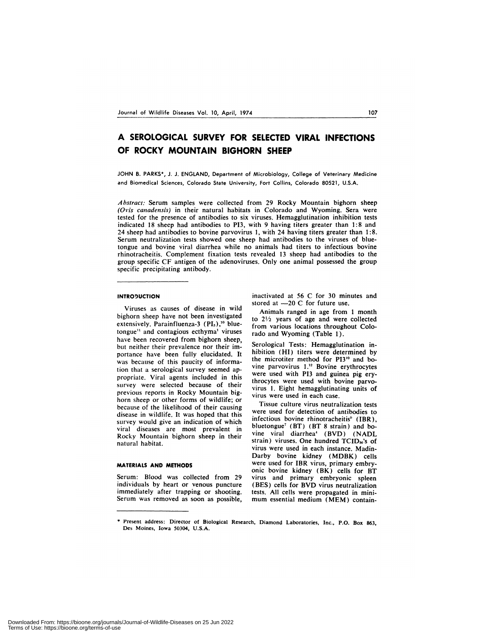# **A SEROLOGICAL SURVEY FOR SELECTED VIRAL INFECTIONS OF ROCKY MOUNTAIN BIGHORN SHEEP**

JOHN B. PARKS\*, J. J. ENGLAND, Department of Microbiology, College of Veterinary Medicine and Biomedical Sciences, Colorado State University, Fort Collins, Colorado 80521, U.S.A.

Abstract: Serum samples were collected from 29 Rocky Mountain bighorn sheep *(Otis canadcnsis)* in their natural habitats in Colorado and Wyoming. Sera were tested for the presence of antibodies to six viruses. Hemagglutination inhibition tests indicated 18 sheep had antibodies to P13, with 9 having titers greater than 1:8 and 24 sheep had antibodies to bovine parvovirus 1, with 24 having titers greater than 1:8. Serum neutralization tests showed one sheep had antibodies to the viruses of bluetongue and bovine viral diarrhea while no animals had titers to infectious bovine rhinotracheitis. Complement fixation tests revealed 13 sheep had antibodies to the group specific CF antigen of the adenoviruses. Only one animal possessed the group specific precipitating antibody.

#### **INTRODUCTION**

Viruses as causes of disease in wild bighorn sheep have not been investigated extensively. Parainfluenza-3 (PI<sub>3</sub>),<sup>10</sup> bluetongue" and contagious ecthyma' viruses have been recovered from bighorn sheep, but neither their prevalence nor their importance have been fully elucidated. It was because of this paucity of information that a serological survey seemed appropriate. Viral agents included in this survey were selected because of their previous reports in Rocky Mountain bighorn sheep or other forms of wildlife; or because of the likelihood of their causing disease in wildlife. It was hoped that this survey would give an indication of which viral diseases are most prevalent in Rocky Mountain bighorn sheep in their natural habitat.

# **MATERIALS AND METHODS**

Serum: Blood was collected from 29 individuals by heart or venous puncture immediately after trapping or shooting. Serum was removed as soon as possible,

inactivated at 56 C for 30 minutes and stored at  $-20$  C for future use.

Animals ranged in age from 1 month to  $2\frac{1}{2}$  years of age and were collected from various locations throughout Colorado and Wyoming (Table 1).

Serological Tests: Hemagglutination inhibition (HI) titers were determined by the microtiter method for PI3<sup>10</sup> and bovine parvovirus 1.<sup>12</sup> Bovine erythrocytes were used with PI3 and guinea pig erythrocytes were used with bovine parvovirus 1. Eight hemagglutinating units of virus were used in each case.

Tissue culture virus neutralization tests were used for detection of antibodies to infectious bovine rhinotracheitis" (IBR), bluetongue<sup>7</sup> (BT) (BT 8 strain) and bovine viral diarrhea' (BVD) (NADL strain) viruses. One hundred TCID<sub>so</sub>'s of virus were used in each instance. Madin-Darby bovine kidney (MDBK) cells were used for IBR virus, primary embryonic bovine kidney (BK) cells for BT virus and primary embryonic spleen (BES) cells for BVD virus neutralization tests. All cells were propagated in mini mum essential medium (MEM) contain-

**<sup>\*</sup>** Present address: Director of Biological Research, Diamond Laboratories, Inc., P.O. Box 863, Des Moines, Iowa 50304, U.S.A.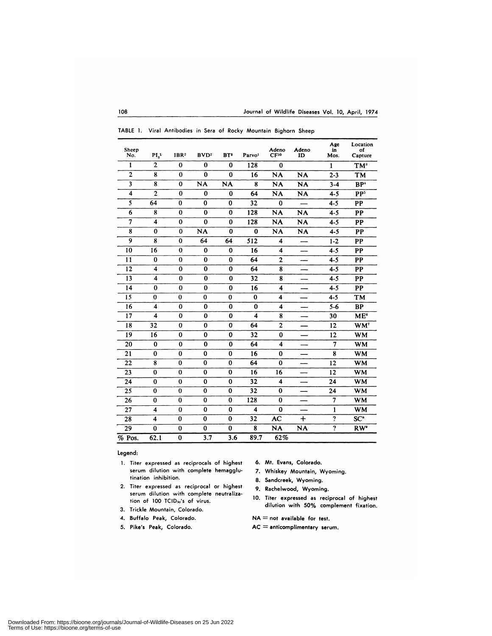| Sheep<br>No.   | PI <sub>2</sub>         | IBR <sup>2</sup> | BVD <sup>2</sup> | BT <sup>2</sup> | Parvo <sup>1</sup>      | Adeno<br>CF <sup>10</sup> | Adeno<br>ID | Age<br>in<br>Mos.       | Location<br>of<br>Capture |
|----------------|-------------------------|------------------|------------------|-----------------|-------------------------|---------------------------|-------------|-------------------------|---------------------------|
| 1              | $\overline{2}$          | $\bf{0}$         | $\bf{0}$         | $\bf{0}$        | 128                     | $\bf{0}$                  |             | $\mathbf{I}$            | TM <sup>3</sup>           |
| $\overline{2}$ | 8                       | $\bf{0}$         | $\bf{0}$         | $\bf{0}$        | 16                      | <b>NA</b>                 | <b>NA</b>   | $2 - 3$                 | TM                        |
| 3              | 8                       | $\bf{0}$         | <b>NA</b>        | <b>NA</b>       | 8                       | <b>NA</b>                 | <b>NA</b>   | $3 - 4$                 | BP <sup>*</sup>           |
| 4              | $\overline{c}$          | $\bf{0}$         | $\bf{0}$         | $\bf{0}$        | 64                      | <b>NA</b>                 | <b>NA</b>   | $4 - 5$                 | PP <sup>5</sup>           |
| 5              | 64                      | $\bf{0}$         | $\bf{0}$         | $\bf{0}$        | 32                      | $\bf{0}$                  |             | $4 - 5$                 | PP                        |
| 6              | 8                       | $\bf{0}$         | $\bf{0}$         | $\bf{0}$        | 128                     | <b>NA</b>                 | <b>NA</b>   | $4 - 5$                 | PP                        |
| 7              | 4                       | $\bf{0}$         | $\bf{0}$         | $\bf{0}$        | 128                     | <b>NA</b>                 | <b>NA</b>   | $4 - 5$                 | PP                        |
| 8              | $\bf{0}$                | $\bf{0}$         | <b>NA</b>        | $\bf{0}$        | $\bf{0}$                | <b>NA</b>                 | <b>NA</b>   | $4 - 5$                 | PP                        |
| 9              | 8                       | $\bf{0}$         | 64               | 64              | 512                     | 4                         |             | $1 - 2$                 | PP                        |
| 10             | 16                      | $\bf{0}$         | $\bf{0}$         | $\bf{0}$        | 16                      | 4                         |             | $4 - 5$                 | PP                        |
| 11             | 0                       | $\bf{0}$         | $\bf{0}$         | 0               | 64                      | $\overline{2}$            |             | $4 - 5$                 | PP                        |
| 12             | $\overline{\mathbf{4}}$ | $\bf{0}$         | $\bf{0}$         | $\bf{0}$        | 64                      | ${\bf 8}$                 |             | $4 - 5$                 | <b>PP</b>                 |
| 13             | $\overline{\mathbf{4}}$ | $\bf{0}$         | $\bf{0}$         | $\bf{0}$        | 32                      | 8                         | ---         | $4 - 5$                 | PP                        |
| 14             | $\bf{0}$                | $\bf{0}$         | $\bf{0}$         | $\bf{0}$        | 16                      | $\overline{\mathbf{4}}$   |             | $4 - 5$                 | PP                        |
| 15             | $\bf{0}$                | $\bf{0}$         | $\bf{0}$         | $\bf{0}$        | $\bf{0}$                | $\overline{\mathbf{4}}$   |             | $4 - 5$                 | TM                        |
| 16             | 4                       | $\bf{0}$         | $\bf{0}$         | $\bf{0}$        | $\bf{0}$                | 4                         |             | $5 - 6$                 | <b>BP</b>                 |
| 17             | $\overline{\mathbf{4}}$ | $\bf{0}$         | $\bf{0}$         | $\bf{0}$        | 4                       | 8                         |             | 30                      | ME <sup>6</sup>           |
| 18             | 32                      | $\bf{0}$         | $\bf{0}$         | 0               | 64                      | $\overline{2}$            |             | 12                      | WM <sup>7</sup>           |
| 19             | 16                      | $\bf{0}$         | 0                | 0               | 32                      | $\bf{0}$                  |             | 12                      | <b>WM</b>                 |
| 20             | $\bf{0}$                | $\bf{0}$         | $\bf{0}$         | $\bf{0}$        | 64                      | 4                         |             | 7                       | <b>WM</b>                 |
| 21             | $\bf{0}$                | $\bf{0}$         | $\bf{0}$         | $\bf{0}$        | 16                      | $\bf{0}$                  |             | 8                       | <b>WM</b>                 |
| 22             | 8                       | $\bf{0}$         | 0                | 0               | 64                      | $\bf{0}$                  |             | 12                      | <b>WM</b>                 |
| 23             | $\bf{0}$                | $\bf{0}$         | $\bf{0}$         | $\bf{0}$        | 16                      | 16                        |             | 12                      | <b>WM</b>                 |
| 24             | $\bf{0}$                | $\bf{0}$         | $\bf{0}$         | $\bf{0}$        | 32                      | 4                         |             | 24                      | <b>WM</b>                 |
| 25             | $\bf{0}$                | $\bf{0}$         | $\bf{0}$         | 0               | 32                      | $\bf{0}$                  |             | 24                      | <b>WM</b>                 |
| 26             | $\bf{0}$                | $\bf{0}$         | $\bf{0}$         | $\bf{0}$        | 128                     | $\bf{0}$                  | —           | 7                       | <b>WM</b>                 |
| 27             | $\overline{\mathbf{4}}$ | $\bf{0}$         | $\bf{0}$         | $\bf{0}$        | $\overline{\mathbf{4}}$ | $\bf{0}$                  |             | 1                       | <b>WM</b>                 |
| 28             | 4                       | $\bf{0}$         | $\bf{0}$         | $\bf{0}$        | 32                      | AC                        | $+$         | $\ddot{\mathbf{c}}$     | SC <sup>*</sup>           |
| 29             | $\bf{0}$                | $\bf{0}$         | $\bf{0}$         | 0               | 8                       | <b>NA</b>                 | <b>NA</b>   | $\overline{\mathbf{?}}$ | RW <sup>®</sup>           |
| % Pos.         | 62.1                    | $\bf{0}$         | 3.7              | 3.6             | 89.7                    | 62%                       |             |                         |                           |

|  |  | TABLE 1. Viral Antibodies in Sera of Rocky Mountain Bighorn Sheep |  |  |  |  |  |  |  |  |
|--|--|-------------------------------------------------------------------|--|--|--|--|--|--|--|--|
|--|--|-------------------------------------------------------------------|--|--|--|--|--|--|--|--|

**Legend:**

- 1. Titer expressed as reciprocals of highest 6. Mt. Evans, Colorado. serum dilution with complete hemagglu- 7. Whiskey Mountain, Wyoming.
- 2. Titer expressed as reciprocal or highest 9. Rachelwood, Wyoming. serum dilution with complete neutraliza-<br>tion of 100 TCID-4s of virus 10. Titer expressed as reciprocal of highest
- 3. Trickle Mountain, Colorado.
- 4. Buffalo Peak, Colorado.
- 5. Pike's Peak, Colorado.
- 
- 
- 8. Sandcreek, Wyoming.
- 
- tion of 100 TCID<sub>30</sub>'s of virus.<br>dilution with 50% complement fixation.

 $NA = not available for test.$ 

**AC** =anticomplimentary serum.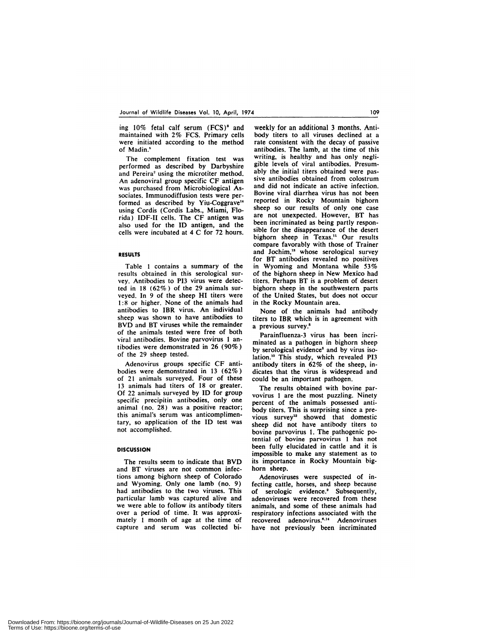ing  $10\%$  fetal calf serum  $(FCS)^8$  and maintained with 2% FCS. Primary cells were initiated according to the method of Madin.'

The complement fixation test was performed as described by Darbyshire and Pereira' using the microtiter method. An adenoviral group specific CF antigen was purchased from Microbiological Associates. Immunodiffusion tests were performed as described by Yiu-Coggrave" using Cordis (Cordis Labs., Miami, Florida) IDF-II cells. The CF antigen was also used for the ID antigen, and the cells were incubated at 4 C for 72 hours.

#### **RESULTS**

Table 1 contains a summary of the results obtained in this serological sur vey. Antibodies to P13 virus were detected in 18 (62%) of the 29 animals sur veyed. In 9 of the sheep HI titers were 1:8 or higher. None of the animals had antibodies to IBR virus. An individual sheep was shown to have antibodies to BVD and BT viruses while the remainder of the animals tested were free of both viral antibodies. Bovine parvovirus 1 antibodies were demonstrated in 26 (90%) of the 29 sheep tested.

Adenovirus groups specific CF antibodies were demonstrated in 13 (62%) of 21 animals surveyed. Four of these 13 animals had titers of 18 or greater. Of 22 animals surveyed by ID for group specific precipitin antibodies, only one animal (no. 28) was a positive reactor; this animal's serum was anticomplimentary, so application of the ID test was not accomplished.

## **DISCUSSION**

The results seem to indicate that BVD and BT viruses are not common infections among bighorn sheep of Colorado and Wyoming. Only one lamb (no. 9) had antibodies to the two viruses. This particular lamb was captured alive and we were able to follow its antibody titers over a period of time. It was approximately 1 month of age at the time of capture and serum was collected bi-

weekly for an additional 3 months. Antibody titers to all viruses declined at a rate consistent with the decay of passive antibodies. The lamb, at the time of this writing, is healthy and has only negligible levels of viral antibodies. Presumably the initial titers obtained were passive antibodies obtained from colostrum and did not indicate an active infection. Bovine viral diarrhea virus has not been reported in Rocky Mountain bighorn sheep so our results of only one case are not unexpected. However, BT has been incriminated as being partly responsible for the disappearance of the desert bighorn sheep in Texas." Our results compare favorably with those of Trainer and Jochim,'3 whose serological survey for BT antibodies revealed no positives in Wyoming and Montana while 53% of the bighorn sheep in New Mexico had titers. Perhaps BT is a problem of desert bighorn sheep in the southwestern parts of the United States, but does not occur in the Rocky Mountain area.

None of the animals had antibody titers to IBR which is in agreement with a previous survey.<sup>6</sup>

Parainfluenza-3 virus has been incriminated as a pathogen in bighorn sheep by serological evidence' and by virus isolation.<sup>10</sup> This study, which revealed PI3 antibody titers in 62% of the sheep, indicates that the virus is widespread and could be an important pathogen.

The results obtained with bovine parvovirus 1 are the most puzzling. Ninety percent of the animals possessed antibody titers. This is surprising since a previous survey<sup>12</sup> showed that domestic sheep did not have antibody titers to bovine parvovirus 1. The pathogenic potential of bovine parvovirus 1 has not been fully elucidated in cattle and it is impossible to make any statement as to its importance in Rocky Mountain bighorn sheep.

Adenoviruses were suspected of infecting cattle, horses, and sheep because of serologic evidence.<sup>2</sup> Subsequently, adenoviruses were recovered from these animals, and some of these animals had respiratory infections associated with the recovered adenovirus.<sup>6,14</sup> Adenoviruses have not previously been incriminated